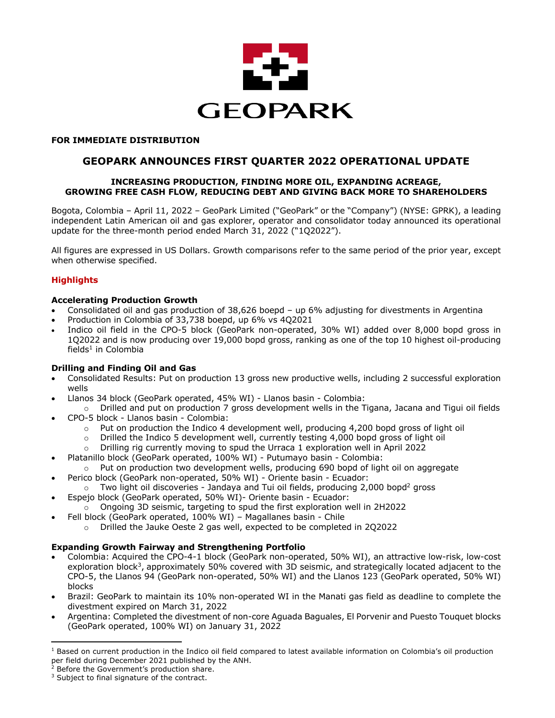

### **FOR IMMEDIATE DISTRIBUTION**

# **GEOPARK ANNOUNCES FIRST QUARTER 2022 OPERATIONAL UPDATE**

### **INCREASING PRODUCTION, FINDING MORE OIL, EXPANDING ACREAGE, GROWING FREE CASH FLOW, REDUCING DEBT AND GIVING BACK MORE TO SHAREHOLDERS**

Bogota, Colombia – April 11, 2022 – GeoPark Limited ("GeoPark" or the "Company") (NYSE: GPRK), a leading independent Latin American oil and gas explorer, operator and consolidator today announced its operational update for the three-month period ended March 31, 2022 ("1Q2022").

All figures are expressed in US Dollars. Growth comparisons refer to the same period of the prior year, except when otherwise specified.

## **Highlights**

#### **Accelerating Production Growth**

- Consolidated oil and gas production of 38,626 boepd up 6% adjusting for divestments in Argentina
- Production in Colombia of 33,738 boepd, up 6% vs 4Q2021
- Indico oil field in the CPO-5 block (GeoPark non-operated, 30% WI) added over 8,000 bopd gross in 1Q2022 and is now producing over 19,000 bopd gross, ranking as one of the top 10 highest oil-producing  $fields<sup>1</sup>$  in Colombia

### **Drilling and Finding Oil and Gas**

- Consolidated Results: Put on production 13 gross new productive wells, including 2 successful exploration wells
- Llanos 34 block (GeoPark operated, 45% WI) Llanos basin Colombia:
- o Drilled and put on production 7 gross development wells in the Tigana, Jacana and Tigui oil fields • CPO-5 block - Llanos basin - Colombia:
	- $\circ$  Put on production the Indico 4 development well, producing 4,200 bopd gross of light oil
	- $\circ$  Drilled the Indico 5 development well, currently testing 4,000 bopd gross of light oil
	- o Drilling rig currently moving to spud the Urraca 1 exploration well in April 2022
- Platanillo block (GeoPark operated, 100% WI) Putumayo basin Colombia:
	- $\circ$  Put on production two development wells, producing 690 bopd of light oil on aggregate
- Perico block (GeoPark non-operated, 50% WI) Oriente basin Ecuador:
- $\circ$  Two light oil discoveries Jandaya and Tui oil fields, producing 2,000 bopd<sup>2</sup> gross • Espejo block (GeoPark operated, 50% WI)- Oriente basin - Ecuador:
	- $\circ$  Ongoing 3D seismic, targeting to spud the first exploration well in 2H2022
	- Fell block (GeoPark operated, 100% WI) Magallanes basin Chile
		- o Drilled the Jauke Oeste 2 gas well, expected to be completed in 2Q2022

### **Expanding Growth Fairway and Strengthening Portfolio**

- Colombia: Acquired the CPO-4-1 block (GeoPark non-operated, 50% WI), an attractive low-risk, low-cost exploration block<sup>3</sup>, approximately 50% covered with 3D seismic, and strategically located adjacent to the CPO-5, the Llanos 94 (GeoPark non-operated, 50% WI) and the Llanos 123 (GeoPark operated, 50% WI) blocks
- Brazil: GeoPark to maintain its 10% non-operated WI in the Manati gas field as deadline to complete the divestment expired on March 31, 2022
- Argentina: Completed the divestment of non-core Aguada Baguales, El Porvenir and Puesto Touquet blocks (GeoPark operated, 100% WI) on January 31, 2022

 $1$  Based on current production in the Indico oil field compared to latest available information on Colombia's oil production per field during December 2021 published by the ANH.<br><sup>2</sup> Before the Government's production share.

<sup>&</sup>lt;sup>3</sup> Subject to final signature of the contract.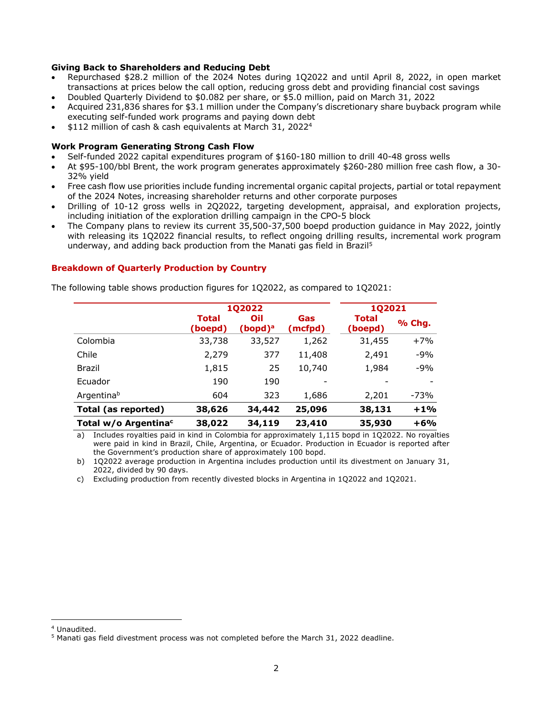# **Giving Back to Shareholders and Reducing Debt**

- Repurchased \$28.2 million of the 2024 Notes during 1Q2022 and until April 8, 2022, in open market transactions at prices below the call option, reducing gross debt and providing financial cost savings
- Doubled Quarterly Dividend to \$0.082 per share, or \$5.0 million, paid on March 31, 2022
- Acquired 231,836 shares for \$3.1 million under the Company's discretionary share buyback program while executing self-funded work programs and paying down debt
- \$112 million of cash & cash equivalents at March 31, 20224

#### **Work Program Generating Strong Cash Flow**

- Self-funded 2022 capital expenditures program of \$160-180 million to drill 40-48 gross wells
- At \$95-100/bbl Brent, the work program generates approximately \$260-280 million free cash flow, a 30- 32% yield
- Free cash flow use priorities include funding incremental organic capital projects, partial or total repayment of the 2024 Notes, increasing shareholder returns and other corporate purposes
- Drilling of 10-12 gross wells in 2Q2022, targeting development, appraisal, and exploration projects, including initiation of the exploration drilling campaign in the CPO-5 block
- The Company plans to review its current 35,500-37,500 boepd production guidance in May 2022, jointly with releasing its 1Q2022 financial results, to reflect ongoing drilling results, incremental work program underway, and adding back production from the Manati gas field in Brazil5

### **Breakdown of Quarterly Production by Country**

The following table shows production figures for 1Q2022, as compared to 1Q2021:

|                                  | <b>1Q2022</b>    |                                  |                | <b>1Q2021</b>           |        |
|----------------------------------|------------------|----------------------------------|----------------|-------------------------|--------|
|                                  | Total<br>(boepd) | Oil<br>$($ bopd $)$ <sup>a</sup> | Gas<br>(mcfpd) | <b>Total</b><br>(boepd) | % Chg. |
| Colombia                         | 33,738           | 33,527                           | 1,262          | 31,455                  | $+7%$  |
| Chile                            | 2,279            | 377                              | 11,408         | 2,491                   | $-9%$  |
| Brazil                           | 1,815            | 25                               | 10,740         | 1,984                   | $-9%$  |
| Ecuador                          | 190              | 190                              |                |                         |        |
| Argentinab                       | 604              | 323                              | 1,686          | 2,201                   | -73%   |
| <b>Total (as reported)</b>       | 38,626           | 34,442                           | 25,096         | 38,131                  | $+1%$  |
| Total w/o Argentina <sup>c</sup> | 38,022           | 34,119                           | 23,410         | 35,930                  | $+6%$  |

a) Includes royalties paid in kind in Colombia for approximately 1,115 bopd in 1Q2022. No royalties were paid in kind in Brazil, Chile, Argentina, or Ecuador. Production in Ecuador is reported after the Government's production share of approximately 100 bopd.

b) 1Q2022 average production in Argentina includes production until its divestment on January 31, 2022, divided by 90 days.

c) Excluding production from recently divested blocks in Argentina in 1Q2022 and 1Q2021.

<sup>4</sup> Unaudited.

 $5$  Manati gas field divestment process was not completed before the March 31, 2022 deadline.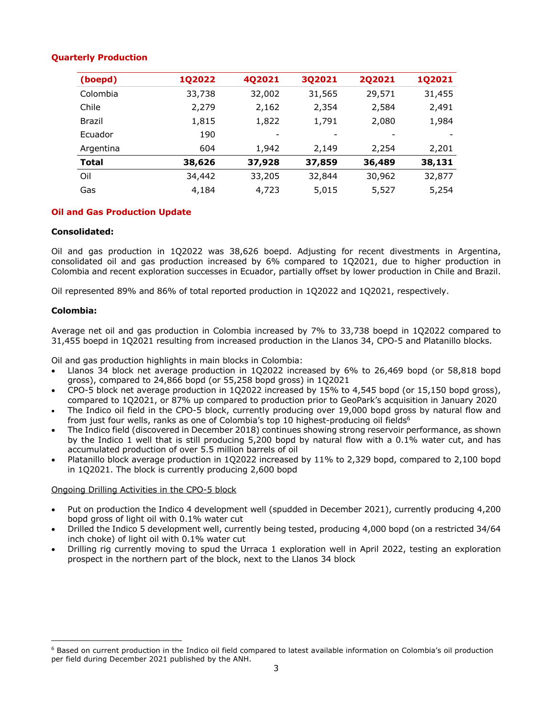## **Quarterly Production**

| (boepd)      | 1Q2022 | 4Q2021 | 3Q2021 | 202021 | <b>1Q2021</b> |
|--------------|--------|--------|--------|--------|---------------|
| Colombia     | 33,738 | 32,002 | 31,565 | 29,571 | 31,455        |
| Chile        | 2,279  | 2,162  | 2,354  | 2,584  | 2,491         |
| Brazil       | 1,815  | 1,822  | 1,791  | 2,080  | 1,984         |
| Ecuador      | 190    |        |        |        |               |
| Argentina    | 604    | 1,942  | 2,149  | 2,254  | 2,201         |
| <b>Total</b> | 38,626 | 37,928 | 37,859 | 36,489 | 38,131        |
| Oil          | 34,442 | 33,205 | 32,844 | 30,962 | 32,877        |
| Gas          | 4,184  | 4,723  | 5,015  | 5,527  | 5,254         |

## **Oil and Gas Production Update**

### **Consolidated:**

Oil and gas production in 1Q2022 was 38,626 boepd. Adjusting for recent divestments in Argentina, consolidated oil and gas production increased by 6% compared to 1Q2021, due to higher production in Colombia and recent exploration successes in Ecuador, partially offset by lower production in Chile and Brazil.

Oil represented 89% and 86% of total reported production in 1Q2022 and 1Q2021, respectively.

#### **Colombia:**

Average net oil and gas production in Colombia increased by 7% to 33,738 boepd in 1Q2022 compared to 31,455 boepd in 1Q2021 resulting from increased production in the Llanos 34, CPO-5 and Platanillo blocks.

Oil and gas production highlights in main blocks in Colombia:

- Llanos 34 block net average production in 1Q2022 increased by 6% to 26,469 bopd (or 58,818 bopd gross), compared to 24,866 bopd (or 55,258 bopd gross) in 1Q2021
- CPO-5 block net average production in 1Q2022 increased by 15% to 4,545 bopd (or 15,150 bopd gross), compared to 1Q2021, or 87% up compared to production prior to GeoPark's acquisition in January 2020
- The Indico oil field in the CPO-5 block, currently producing over 19,000 bopd gross by natural flow and from just four wells, ranks as one of Colombia's top 10 highest-producing oil fields<sup>6</sup>
- The Indico field (discovered in December 2018) continues showing strong reservoir performance, as shown by the Indico 1 well that is still producing 5,200 bopd by natural flow with a 0.1% water cut, and has accumulated production of over 5.5 million barrels of oil
- Platanillo block average production in 1Q2022 increased by 11% to 2,329 bopd, compared to 2,100 bopd in 1Q2021. The block is currently producing 2,600 bopd

### Ongoing Drilling Activities in the CPO-5 block

- Put on production the Indico 4 development well (spudded in December 2021), currently producing 4,200 bopd gross of light oil with 0.1% water cut
- Drilled the Indico 5 development well, currently being tested, producing 4,000 bopd (on a restricted 34/64 inch choke) of light oil with 0.1% water cut
- Drilling rig currently moving to spud the Urraca 1 exploration well in April 2022, testing an exploration prospect in the northern part of the block, next to the Llanos 34 block

 $6$  Based on current production in the Indico oil field compared to latest available information on Colombia's oil production per field during December 2021 published by the ANH.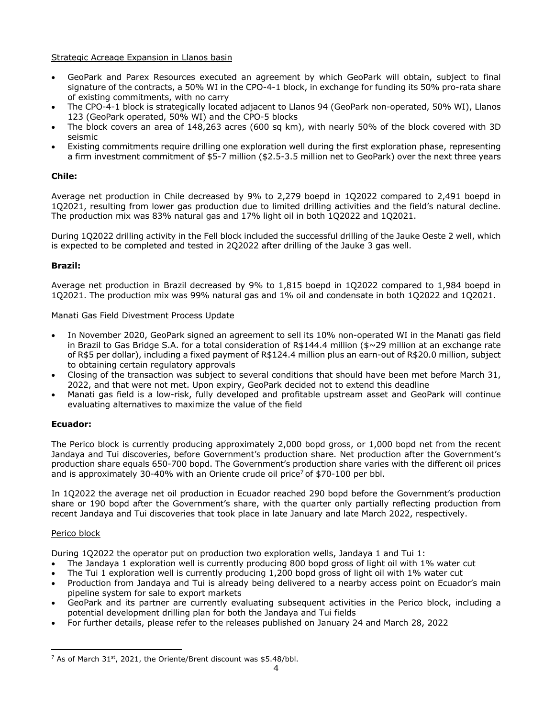Strategic Acreage Expansion in Llanos basin

- GeoPark and Parex Resources executed an agreement by which GeoPark will obtain, subject to final signature of the contracts, a 50% WI in the CPO-4-1 block, in exchange for funding its 50% pro-rata share of existing commitments, with no carry
- The CPO-4-1 block is strategically located adjacent to Llanos 94 (GeoPark non-operated, 50% WI), Llanos 123 (GeoPark operated, 50% WI) and the CPO-5 blocks
- The block covers an area of 148,263 acres (600 sq km), with nearly 50% of the block covered with 3D seismic
- Existing commitments require drilling one exploration well during the first exploration phase, representing a firm investment commitment of \$5-7 million (\$2.5-3.5 million net to GeoPark) over the next three years

# **Chile:**

Average net production in Chile decreased by 9% to 2,279 boepd in 1Q2022 compared to 2,491 boepd in 1Q2021, resulting from lower gas production due to limited drilling activities and the field's natural decline. The production mix was 83% natural gas and 17% light oil in both 1Q2022 and 1Q2021.

During 1Q2022 drilling activity in the Fell block included the successful drilling of the Jauke Oeste 2 well, which is expected to be completed and tested in 2Q2022 after drilling of the Jauke 3 gas well.

## **Brazil:**

Average net production in Brazil decreased by 9% to 1,815 boepd in 1Q2022 compared to 1,984 boepd in 1Q2021. The production mix was 99% natural gas and 1% oil and condensate in both 1Q2022 and 1Q2021.

### Manati Gas Field Divestment Process Update

- In November 2020, GeoPark signed an agreement to sell its 10% non-operated WI in the Manati gas field in Brazil to Gas Bridge S.A. for a total consideration of R\$144.4 million (\$~29 million at an exchange rate of R\$5 per dollar), including a fixed payment of R\$124.4 million plus an earn-out of R\$20.0 million, subject to obtaining certain regulatory approvals
- Closing of the transaction was subject to several conditions that should have been met before March 31, 2022, and that were not met. Upon expiry, GeoPark decided not to extend this deadline
- Manati gas field is a low-risk, fully developed and profitable upstream asset and GeoPark will continue evaluating alternatives to maximize the value of the field

# **Ecuador:**

The Perico block is currently producing approximately 2,000 bopd gross, or 1,000 bopd net from the recent Jandaya and Tui discoveries, before Government's production share. Net production after the Government's production share equals 650-700 bopd. The Government's production share varies with the different oil prices and is approximately 30-40% with an Oriente crude oil price<sup>7</sup> of \$70-100 per bbl.

In 1Q2022 the average net oil production in Ecuador reached 290 bopd before the Government's production share or 190 bopd after the Government's share, with the quarter only partially reflecting production from recent Jandaya and Tui discoveries that took place in late January and late March 2022, respectively.

### Perico block

During 1Q2022 the operator put on production two exploration wells, Jandaya 1 and Tui 1:

- The Jandaya 1 exploration well is currently producing 800 bopd gross of light oil with 1% water cut
- The Tui 1 exploration well is currently producing 1,200 bopd gross of light oil with 1% water cut
- Production from Jandaya and Tui is already being delivered to a nearby access point on Ecuador's main pipeline system for sale to export markets
- GeoPark and its partner are currently evaluating subsequent activities in the Perico block, including a potential development drilling plan for both the Jandaya and Tui fields
- For further details, please refer to the releases published on January 24 and March 28, 2022

 $7$  As of March 31st, 2021, the Oriente/Brent discount was \$5.48/bbl.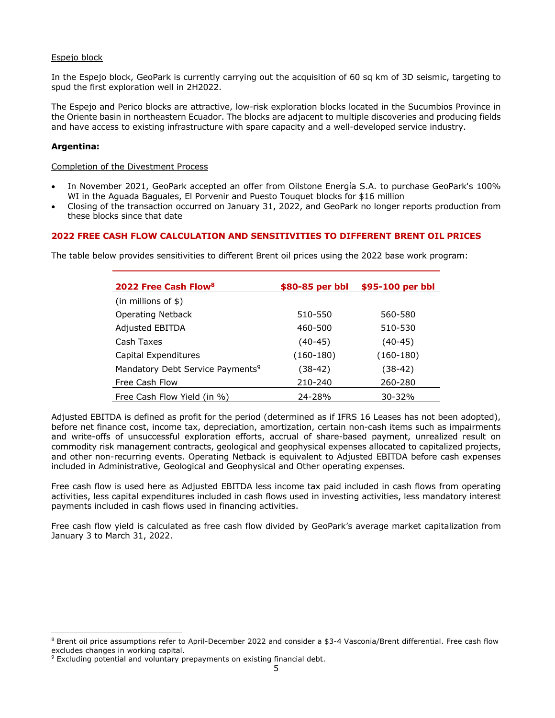## Espejo block

In the Espejo block, GeoPark is currently carrying out the acquisition of 60 sq km of 3D seismic, targeting to spud the first exploration well in 2H2022.

The Espejo and Perico blocks are attractive, low-risk exploration blocks located in the Sucumbios Province in the Oriente basin in northeastern Ecuador. The blocks are adjacent to multiple discoveries and producing fields and have access to existing infrastructure with spare capacity and a well-developed service industry.

### **Argentina:**

Completion of the Divestment Process

- In November 2021, GeoPark accepted an offer from Oilstone Energía S.A. to purchase GeoPark's 100% WI in the Aguada Baguales, El Porvenir and Puesto Touquet blocks for \$16 million
- Closing of the transaction occurred on January 31, 2022, and GeoPark no longer reports production from these blocks since that date

## **2022 FREE CASH FLOW CALCULATION AND SENSITIVITIES TO DIFFERENT BRENT OIL PRICES**

The table below provides sensitivities to different Brent oil prices using the 2022 base work program:

| 2022 Free Cash Flow <sup>8</sup>             | \$80-85 per bbl | \$95-100 per bbl |
|----------------------------------------------|-----------------|------------------|
| $(in$ millions of \$)                        |                 |                  |
| <b>Operating Netback</b>                     | 510-550         | 560-580          |
| <b>Adjusted EBITDA</b>                       | 460-500         | 510-530          |
| Cash Taxes                                   | $(40-45)$       | $(40-45)$        |
| Capital Expenditures                         | $(160-180)$     | $(160-180)$      |
| Mandatory Debt Service Payments <sup>9</sup> | $(38-42)$       | $(38-42)$        |
| Free Cash Flow                               | 210-240         | 260-280          |
| Free Cash Flow Yield (in %)                  | 24-28%          | $30 - 32%$       |

Adjusted EBITDA is defined as profit for the period (determined as if IFRS 16 Leases has not been adopted), before net finance cost, income tax, depreciation, amortization, certain non-cash items such as impairments and write-offs of unsuccessful exploration efforts, accrual of share-based payment, unrealized result on commodity risk management contracts, geological and geophysical expenses allocated to capitalized projects, and other non-recurring events. Operating Netback is equivalent to Adjusted EBITDA before cash expenses included in Administrative, Geological and Geophysical and Other operating expenses.

Free cash flow is used here as Adjusted EBITDA less income tax paid included in cash flows from operating activities, less capital expenditures included in cash flows used in investing activities, less mandatory interest payments included in cash flows used in financing activities.

Free cash flow yield is calculated as free cash flow divided by GeoPark's average market capitalization from January 3 to March 31, 2022.

<sup>8</sup> Brent oil price assumptions refer to April-December 2022 and consider a \$3-4 Vasconia/Brent differential. Free cash flow excludes changes in working capital.

<sup>&</sup>lt;sup>9</sup> Excluding potential and voluntary prepayments on existing financial debt.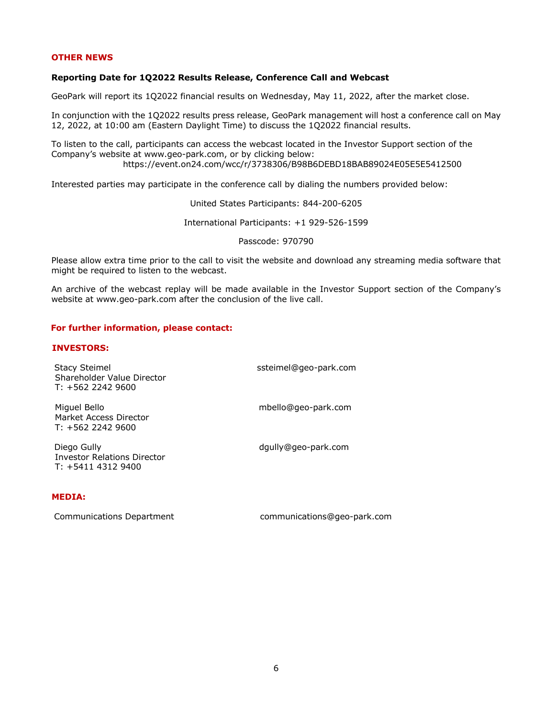#### **OTHER NEWS**

#### **Reporting Date for 1Q2022 Results Release, Conference Call and Webcast**

GeoPark will report its 1Q2022 financial results on Wednesday, May 11, 2022, after the market close.

In conjunction with the 1Q2022 results press release, GeoPark management will host a conference call on May 12, 2022, at 10:00 am (Eastern Daylight Time) to discuss the 1Q2022 financial results.

To listen to the call, participants can access the webcast located in the Investor Support section of the Company's website at www.geo-park.com, or by clicking below: https://event.on24.com/wcc/r/3738306/B98B6DEBD18BAB89024E05E5E5412500

Interested parties may participate in the conference call by dialing the numbers provided below:

United States Participants: 844-200-6205

International Participants: +1 929-526-1599

Passcode: 970790

Please allow extra time prior to the call to visit the website and download any streaming media software that might be required to listen to the webcast.

An archive of the webcast replay will be made available in the Investor Support section of the Company's website at www.geo-park.com after the conclusion of the live call.

#### **For further information, please contact:**

#### **INVESTORS:**

| <b>Stacy Steimel</b><br>Shareholder Value Director<br>$T: +56222429600$ | ssteimel@geo-park.com |
|-------------------------------------------------------------------------|-----------------------|
| Miquel Bello<br>Market Access Director<br>$T: +56222429600$             | mbello@geo-park.com   |
| Diego Gully<br><b>Investor Relations Director</b><br>T: +5411 4312 9400 | dgully@geo-park.com   |
| MENTA.                                                                  |                       |

#### **MEDIA:**

Communications Department communications@geo-park.com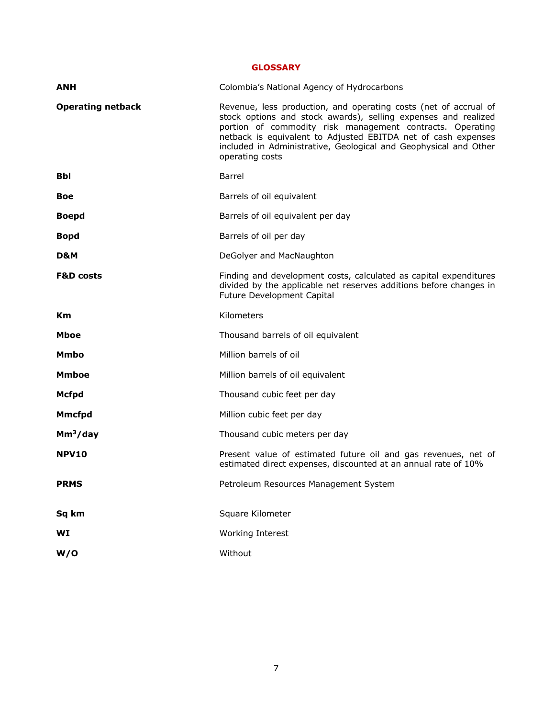**GLOSSARY**

| <b>ANH</b>               | Colombia's National Agency of Hydrocarbons                                                                                                                                                                                                                                                                                                              |
|--------------------------|---------------------------------------------------------------------------------------------------------------------------------------------------------------------------------------------------------------------------------------------------------------------------------------------------------------------------------------------------------|
| <b>Operating netback</b> | Revenue, less production, and operating costs (net of accrual of<br>stock options and stock awards), selling expenses and realized<br>portion of commodity risk management contracts. Operating<br>netback is equivalent to Adjusted EBITDA net of cash expenses<br>included in Administrative, Geological and Geophysical and Other<br>operating costs |
| Bbl                      | Barrel                                                                                                                                                                                                                                                                                                                                                  |
| Boe                      | Barrels of oil equivalent                                                                                                                                                                                                                                                                                                                               |
| <b>Boepd</b>             | Barrels of oil equivalent per day                                                                                                                                                                                                                                                                                                                       |
| <b>Bopd</b>              | Barrels of oil per day                                                                                                                                                                                                                                                                                                                                  |
| D&M                      | DeGolyer and MacNaughton                                                                                                                                                                                                                                                                                                                                |
| <b>F&amp;D costs</b>     | Finding and development costs, calculated as capital expenditures<br>divided by the applicable net reserves additions before changes in<br>Future Development Capital                                                                                                                                                                                   |
| Кm                       | Kilometers                                                                                                                                                                                                                                                                                                                                              |
| Mboe                     | Thousand barrels of oil equivalent                                                                                                                                                                                                                                                                                                                      |
| <b>Mmbo</b>              | Million barrels of oil                                                                                                                                                                                                                                                                                                                                  |
| <b>Mmboe</b>             | Million barrels of oil equivalent                                                                                                                                                                                                                                                                                                                       |
| <b>Mcfpd</b>             | Thousand cubic feet per day                                                                                                                                                                                                                                                                                                                             |
| <b>Mmcfpd</b>            | Million cubic feet per day                                                                                                                                                                                                                                                                                                                              |
| Mm <sup>3</sup> /day     | Thousand cubic meters per day                                                                                                                                                                                                                                                                                                                           |
| <b>NPV10</b>             | Present value of estimated future oil and gas revenues, net of<br>estimated direct expenses, discounted at an annual rate of 10%                                                                                                                                                                                                                        |
| <b>PRMS</b>              | Petroleum Resources Management System                                                                                                                                                                                                                                                                                                                   |
| Sq km                    | Square Kilometer                                                                                                                                                                                                                                                                                                                                        |
| WI                       | Working Interest                                                                                                                                                                                                                                                                                                                                        |
| W/O                      | Without                                                                                                                                                                                                                                                                                                                                                 |